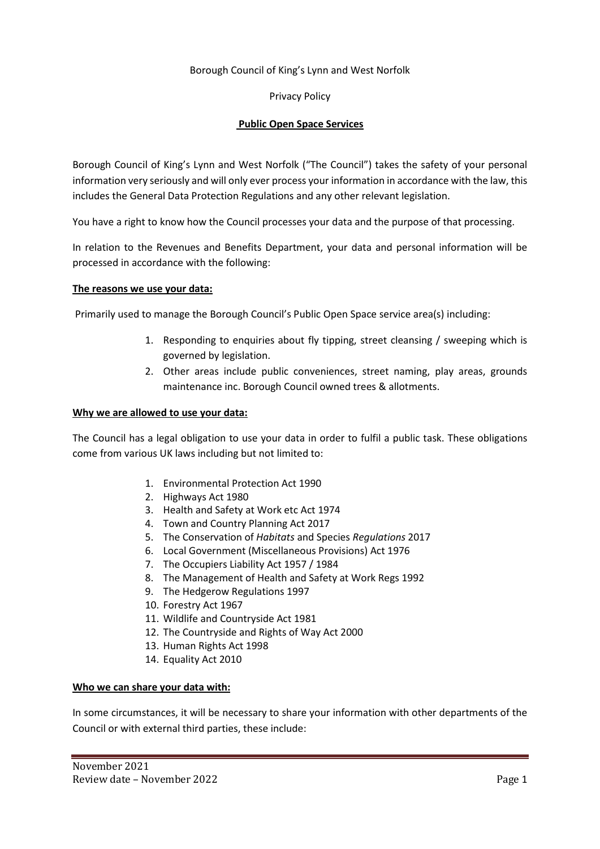### Borough Council of King's Lynn and West Norfolk

Privacy Policy

### **Public Open Space Services**

Borough Council of King's Lynn and West Norfolk ("The Council") takes the safety of your personal information very seriously and will only ever process your information in accordance with the law, this includes the General Data Protection Regulations and any other relevant legislation.

You have a right to know how the Council processes your data and the purpose of that processing.

In relation to the Revenues and Benefits Department, your data and personal information will be processed in accordance with the following:

#### **The reasons we use your data:**

Primarily used to manage the Borough Council's Public Open Space service area(s) including:

- 1. Responding to enquiries about fly tipping, street cleansing / sweeping which is governed by legislation.
- 2. Other areas include public conveniences, street naming, play areas, grounds maintenance inc. Borough Council owned trees & allotments.

#### **Why we are allowed to use your data:**

The Council has a legal obligation to use your data in order to fulfil a public task. These obligations come from various UK laws including but not limited to:

- 1. Environmental Protection Act 1990
- 2. Highways Act 1980
- 3. Health and Safety at Work etc Act 1974
- 4. Town and Country Planning Act 2017
- 5. The Conservation of *Habitats* and Species *Regulations* 2017
- 6. Local Government (Miscellaneous Provisions) Act 1976
- 7. The Occupiers Liability Act 1957 / 1984
- 8. The Management of Health and Safety at Work Regs 1992
- 9. The Hedgerow Regulations 1997
- 10. Forestry Act 1967
- 11. Wildlife and Countryside Act 1981
- 12. The Countryside and Rights of Way Act 2000
- 13. Human Rights Act 1998
- 14. Equality Act 2010

# **Who we can share your data with:**

In some circumstances, it will be necessary to share your information with other departments of the Council or with external third parties, these include: